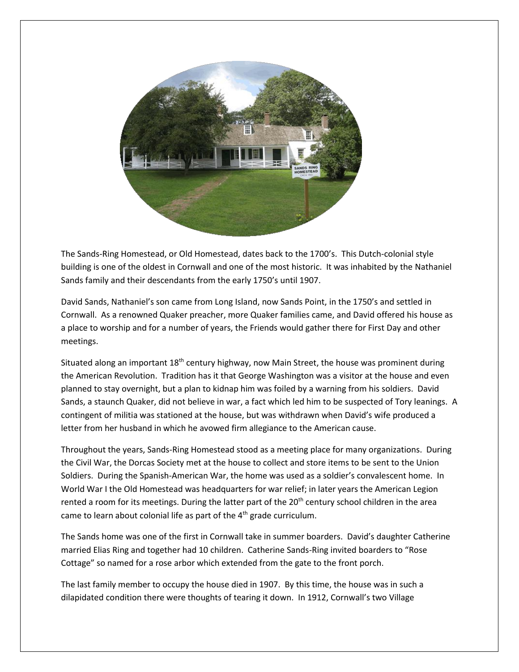

The Sands-Ring Homestead, or Old Homestead, dates back to the 1700's. This Dutch-colonial style building is one of the oldest in Cornwall and one of the most historic. It was inhabited by the Nathaniel Sands family and their descendants from the early 1750's until 1907.

David Sands, Nathaniel's son came from Long Island, now Sands Point, in the 1750's and settled in Cornwall. As a renowned Quaker preacher, more Quaker families came, and David offered his house as a place to worship and for a number of years, the Friends would gather there for First Day and other meetings.

Situated along an important  $18<sup>th</sup>$  century highway, now Main Street, the house was prominent during the American Revolution. Tradition has it that George Washington was a visitor at the house and even planned to stay overnight, but a plan to kidnap him was foiled by a warning from his soldiers. David Sands, a staunch Quaker, did not believe in war, a fact which led him to be suspected of Tory leanings. A contingent of militia was stationed at the house, but was withdrawn when David's wife produced a letter from her husband in which he avowed firm allegiance to the American cause.

Throughout the years, Sands-Ring Homestead stood as a meeting place for many organizations. During the Civil War, the Dorcas Society met at the house to collect and store items to be sent to the Union Soldiers. During the Spanish-American War, the home was used as a soldier's convalescent home. In World War I the Old Homestead was headquarters for war relief; in later years the American Legion rented a room for its meetings. During the latter part of the 20<sup>th</sup> century school children in the area came to learn about colonial life as part of the  $4<sup>th</sup>$  grade curriculum.

The Sands home was one of the first in Cornwall take in summer boarders. David's daughter Catherine married Elias Ring and together had 10 children. Catherine Sands-Ring invited boarders to "Rose Cottage" so named for a rose arbor which extended from the gate to the front porch.

The last family member to occupy the house died in 1907. By this time, the house was in such a dilapidated condition there were thoughts of tearing it down. In 1912, Cornwall's two Village